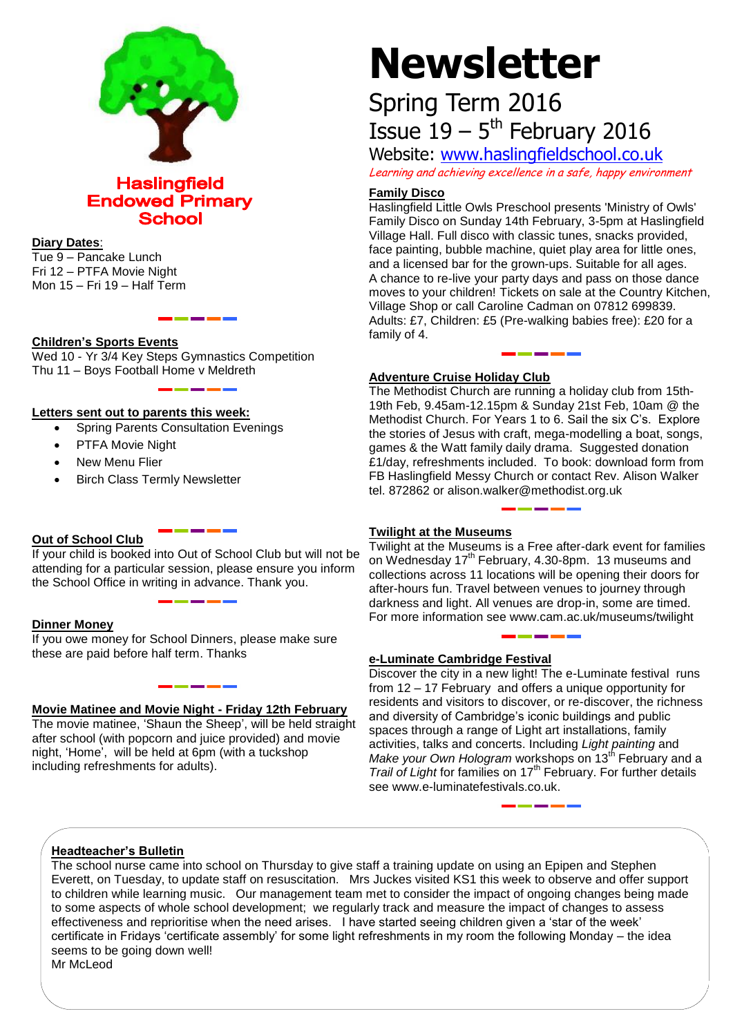

# **Haslingfield Endowed Primary School**

#### **Diary Dates**:

Tue 9 – Pancake Lunch Fri 12 – PTFA Movie Night Mon 15 – Fri 19 – Half Term

# **Children's Sports Events**

Wed 10 - Yr 3/4 Key Steps Gymnastics Competition Thu 11 – Boys Football Home v Meldreth

# **Letters sent out to parents this week:**

- Spring Parents Consultation Evenings
- PTFA Movie Night
- New Menu Flier
- Birch Class Termly Newsletter

# **Out of School Club**

If your child is booked into Out of School Club but will not be attending for a particular session, please ensure you inform the School Office in writing in advance. Thank you.

#### **Dinner Money**

If you owe money for School Dinners, please make sure these are paid before half term. Thanks

# **Movie Matinee and Movie Night - Friday 12th February**

The movie matinee, 'Shaun the Sheep', will be held straight after school (with popcorn and juice provided) and movie night, 'Home', will be held at 6pm (with a tuckshop including refreshments for adults).

# **Newsletter**

# Spring Term 2016 Issue  $19 - 5$ <sup>th</sup> February 2016

Website: [www.haslingfieldschool.co.uk](http://www.haslingfieldschool.co.uk/)

Learning and achieving excellence in a safe, happy environment

#### **Family Disco**

Haslingfield Little Owls Preschool presents 'Ministry of Owls' Family Disco on Sunday 14th February, 3-5pm at Haslingfield Village Hall. Full disco with classic tunes, snacks provided, face painting, bubble machine, quiet play area for little ones, and a licensed bar for the grown-ups. Suitable for all ages. A chance to re-live your party days and pass on those dance moves to your children! Tickets on sale at the Country Kitchen, Village Shop or call Caroline Cadman on 07812 699839. Adults: £7, Children: £5 (Pre-walking babies free): £20 for a family of 4.

# **Adventure Cruise Holiday Club**

The Methodist Church are running a holiday club from 15th-19th Feb, 9.45am-12.15pm & Sunday 21st Feb, 10am @ the Methodist Church. For Years 1 to 6. Sail the six C's. Explore the stories of Jesus with craft, mega-modelling a boat, songs, games & the Watt family daily drama. Suggested donation £1/day, refreshments included. To book: download form from FB Haslingfield Messy Church or contact Rev. Alison Walker tel. 872862 or alison.walker@methodist.org.uk

# **Twilight at the Museums**

Twilight at the Museums is a Free after-dark event for families on Wednesday 17<sup>th</sup> February, 4.30-8pm. 13 museums and collections across 11 locations will be opening their doors for after-hours fun. Travel between venues to journey through darkness and light. All venues are drop-in, some are timed. For more information see www.cam.ac.uk/museums/twilight

# **e-Luminate Cambridge Festival**

Discover the city in a new light! The e-Luminate festival runs from 12 – 17 February and offers a unique opportunity for residents and visitors to discover, or re-discover, the richness and diversity of Cambridge's iconic buildings and public spaces through a range of Light art installations, family activities, talks and concerts. Including *Light painting* and *Make your Own Hologram* workshops on 13<sup>th</sup> February and a *Trail of Light* for families on 17th February. For further details see www.e-luminatefestivals.co.uk.

# **Headteacher's Bulletin**

The school nurse came into school on Thursday to give staff a training update on using an Epipen and Stephen Everett, on Tuesday, to update staff on resuscitation. Mrs Juckes visited KS1 this week to observe and offer support to children while learning music. Our management team met to consider the impact of ongoing changes being made to some aspects of whole school development; we regularly track and measure the impact of changes to assess effectiveness and reprioritise when the need arises. I have started seeing children given a 'star of the week' certificate in Fridays 'certificate assembly' for some light refreshments in my room the following Monday – the idea seems to be going down well!

Mr McLeod